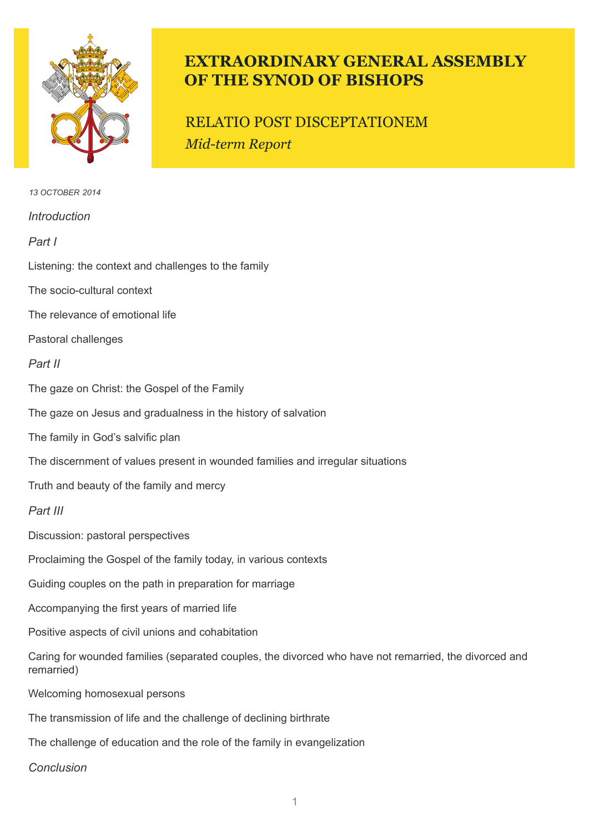

# **EXTRAORDINARY GENERAL ASSEMBLY OF THE SYNOD OF BISHOPS**

# RELATIO POST DISCEPTATIONEM *Mid-term Report*

*Introduction Part I* Listening: the context and challenges to the family The socio-cultural context The relevance of emotional life Pastoral challenges *Part II* The gaze on Christ: the Gospel of the Family The gaze on Jesus and gradualness in the history of salvation The family in God's salvific plan The discernment of values present in wounded families and irregular situations Truth and beauty of the family and mercy *Part III* Discussion: pastoral perspectives Proclaiming the Gospel of the family today, in various contexts Guiding couples on the path in preparation for marriage Accompanying the first years of married life Positive aspects of civil unions and cohabitation Caring for wounded families (separated couples, the divorced who have not remarried, the divorced and remarried) Welcoming homosexual persons The transmission of life and the challenge of declining birthrate The challenge of education and the role of the family in evangelization *Conclusion 13 october 2014*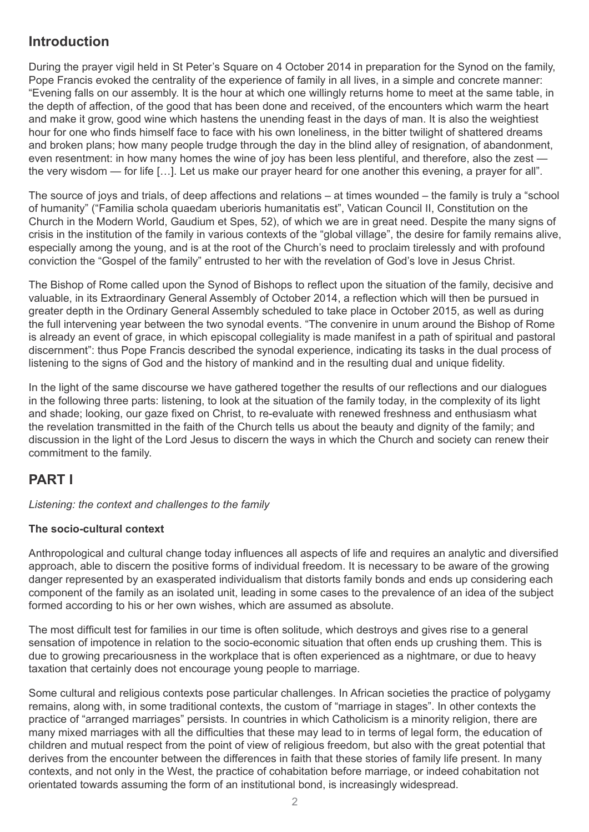## **Introduction**

During the prayer vigil held in St Peter's Square on 4 October 2014 in preparation for the Synod on the family, Pope Francis evoked the centrality of the experience of family in all lives, in a simple and concrete manner: "Evening falls on our assembly. It is the hour at which one willingly returns home to meet at the same table, in the depth of affection, of the good that has been done and received, of the encounters which warm the heart and make it grow, good wine which hastens the unending feast in the days of man. It is also the weightiest hour for one who finds himself face to face with his own loneliness, in the bitter twilight of shattered dreams and broken plans; how many people trudge through the day in the blind alley of resignation, of abandonment, even resentment: in how many homes the wine of joy has been less plentiful, and therefore, also the zest the very wisdom — for life […]. Let us make our prayer heard for one another this evening, a prayer for all".

The source of joys and trials, of deep affections and relations – at times wounded – the family is truly a "school of humanity" ("Familia schola quaedam uberioris humanitatis est", Vatican Council II, Constitution on the Church in the Modern World, Gaudium et Spes, 52), of which we are in great need. Despite the many signs of crisis in the institution of the family in various contexts of the "global village", the desire for family remains alive, especially among the young, and is at the root of the Church's need to proclaim tirelessly and with profound conviction the "Gospel of the family" entrusted to her with the revelation of God's love in Jesus Christ.

The Bishop of Rome called upon the Synod of Bishops to reflect upon the situation of the family, decisive and valuable, in its Extraordinary General Assembly of October 2014, a reflection which will then be pursued in greater depth in the Ordinary General Assembly scheduled to take place in October 2015, as well as during the full intervening year between the two synodal events. "The convenire in unum around the Bishop of Rome is already an event of grace, in which episcopal collegiality is made manifest in a path of spiritual and pastoral discernment": thus Pope Francis described the synodal experience, indicating its tasks in the dual process of listening to the signs of God and the history of mankind and in the resulting dual and unique fidelity.

In the light of the same discourse we have gathered together the results of our reflections and our dialogues in the following three parts: listening, to look at the situation of the family today, in the complexity of its light and shade; looking, our gaze fixed on Christ, to re-evaluate with renewed freshness and enthusiasm what the revelation transmitted in the faith of the Church tells us about the beauty and dignity of the family; and discussion in the light of the Lord Jesus to discern the ways in which the Church and society can renew their commitment to the family.

## **PART I**

*Listening: the context and challenges to the family*

### **The socio-cultural context**

Anthropological and cultural change today influences all aspects of life and requires an analytic and diversified approach, able to discern the positive forms of individual freedom. It is necessary to be aware of the growing danger represented by an exasperated individualism that distorts family bonds and ends up considering each component of the family as an isolated unit, leading in some cases to the prevalence of an idea of the subject formed according to his or her own wishes, which are assumed as absolute.

The most difficult test for families in our time is often solitude, which destroys and gives rise to a general sensation of impotence in relation to the socio-economic situation that often ends up crushing them. This is due to growing precariousness in the workplace that is often experienced as a nightmare, or due to heavy taxation that certainly does not encourage young people to marriage.

Some cultural and religious contexts pose particular challenges. In African societies the practice of polygamy remains, along with, in some traditional contexts, the custom of "marriage in stages". In other contexts the practice of "arranged marriages" persists. In countries in which Catholicism is a minority religion, there are many mixed marriages with all the difficulties that these may lead to in terms of legal form, the education of children and mutual respect from the point of view of religious freedom, but also with the great potential that derives from the encounter between the differences in faith that these stories of family life present. In many contexts, and not only in the West, the practice of cohabitation before marriage, or indeed cohabitation not orientated towards assuming the form of an institutional bond, is increasingly widespread.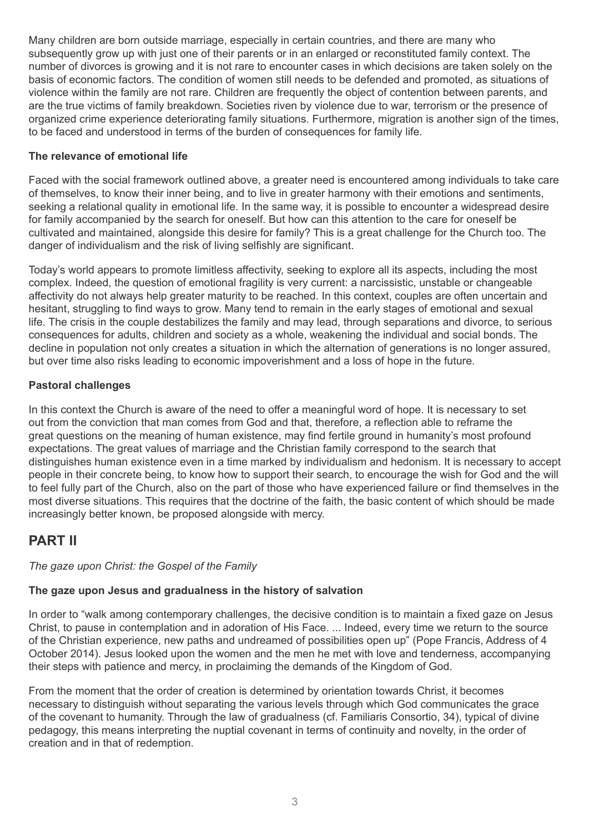Many children are born outside marriage, especially in certain countries, and there are many who subsequently grow up with just one of their parents or in an enlarged or reconstituted family context. The number of divorces is growing and it is not rare to encounter cases in which decisions are taken solely on the basis of economic factors. The condition of women still needs to be defended and promoted, as situations of violence within the family are not rare. Children are frequently the object of contention between parents, and are the true victims of family breakdown. Societies riven by violence due to war, terrorism or the presence of organized crime experience deteriorating family situations. Furthermore, migration is another sign of the times, to be faced and understood in terms of the burden of consequences for family life.

#### **The relevance of emotional life**

Faced with the social framework outlined above, a greater need is encountered among individuals to take care of themselves, to know their inner being, and to live in greater harmony with their emotions and sentiments, seeking a relational quality in emotional life. In the same way, it is possible to encounter a widespread desire for family accompanied by the search for oneself. But how can this attention to the care for oneself be cultivated and maintained, alongside this desire for family? This is a great challenge for the Church too. The danger of individualism and the risk of living selfishly are significant.

Today's world appears to promote limitless affectivity, seeking to explore all its aspects, including the most complex. Indeed, the question of emotional fragility is very current: a narcissistic, unstable or changeable affectivity do not always help greater maturity to be reached. In this context, couples are often uncertain and hesitant, struggling to find ways to grow. Many tend to remain in the early stages of emotional and sexual life. The crisis in the couple destabilizes the family and may lead, through separations and divorce, to serious consequences for adults, children and society as a whole, weakening the individual and social bonds. The decline in population not only creates a situation in which the alternation of generations is no longer assured, but over time also risks leading to economic impoverishment and a loss of hope in the future.

#### **Pastoral challenges**

In this context the Church is aware of the need to offer a meaningful word of hope. It is necessary to set out from the conviction that man comes from God and that, therefore, a reflection able to reframe the great questions on the meaning of human existence, may find fertile ground in humanity's most profound expectations. The great values of marriage and the Christian family correspond to the search that distinguishes human existence even in a time marked by individualism and hedonism. It is necessary to accept people in their concrete being, to know how to support their search, to encourage the wish for God and the will to feel fully part of the Church, also on the part of those who have experienced failure or find themselves in the most diverse situations. This requires that the doctrine of the faith, the basic content of which should be made increasingly better known, be proposed alongside with mercy.

### **PART II**

#### *The gaze upon Christ: the Gospel of the Family*

#### **The gaze upon Jesus and gradualness in the history of salvation**

In order to "walk among contemporary challenges, the decisive condition is to maintain a fixed gaze on Jesus Christ, to pause in contemplation and in adoration of His Face. ... Indeed, every time we return to the source of the Christian experience, new paths and undreamed of possibilities open up" (Pope Francis, Address of 4 October 2014). Jesus looked upon the women and the men he met with love and tenderness, accompanying their steps with patience and mercy, in proclaiming the demands of the Kingdom of God.

From the moment that the order of creation is determined by orientation towards Christ, it becomes necessary to distinguish without separating the various levels through which God communicates the grace of the covenant to humanity. Through the law of gradualness (cf. Familiaris Consortio, 34), typical of divine pedagogy, this means interpreting the nuptial covenant in terms of continuity and novelty, in the order of creation and in that of redemption.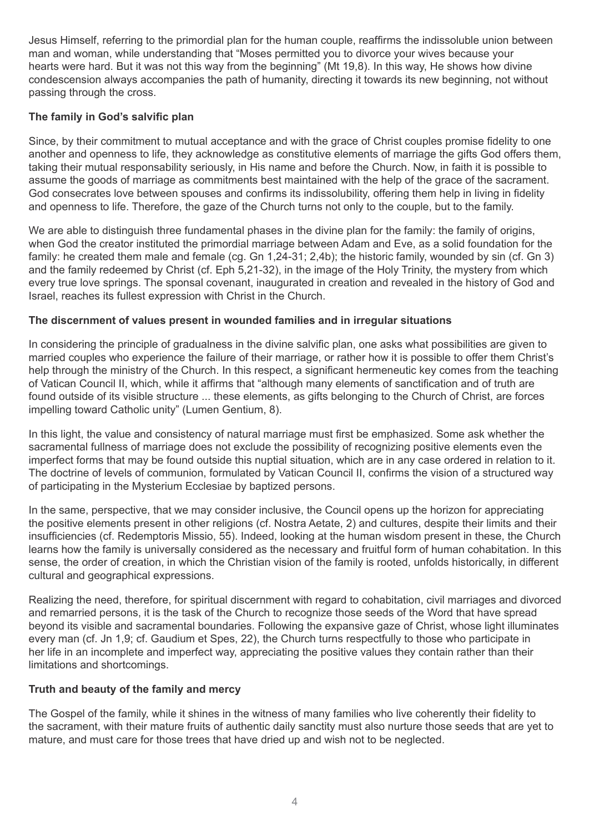Jesus Himself, referring to the primordial plan for the human couple, reaffirms the indissoluble union between man and woman, while understanding that "Moses permitted you to divorce your wives because your hearts were hard. But it was not this way from the beginning" (Mt 19,8). In this way, He shows how divine condescension always accompanies the path of humanity, directing it towards its new beginning, not without passing through the cross.

#### **The family in God's salvific plan**

Since, by their commitment to mutual acceptance and with the grace of Christ couples promise fidelity to one another and openness to life, they acknowledge as constitutive elements of marriage the gifts God offers them, taking their mutual responsability seriously, in His name and before the Church. Now, in faith it is possible to assume the goods of marriage as commitments best maintained with the help of the grace of the sacrament. God consecrates love between spouses and confirms its indissolubility, offering them help in living in fidelity and openness to life. Therefore, the gaze of the Church turns not only to the couple, but to the family.

We are able to distinguish three fundamental phases in the divine plan for the family: the family of origins, when God the creator instituted the primordial marriage between Adam and Eve, as a solid foundation for the family: he created them male and female (cg. Gn 1,24-31; 2,4b); the historic family, wounded by sin (cf. Gn 3) and the family redeemed by Christ (cf. Eph 5,21-32), in the image of the Holy Trinity, the mystery from which every true love springs. The sponsal covenant, inaugurated in creation and revealed in the history of God and Israel, reaches its fullest expression with Christ in the Church.

#### **The discernment of values present in wounded families and in irregular situations**

In considering the principle of gradualness in the divine salvific plan, one asks what possibilities are given to married couples who experience the failure of their marriage, or rather how it is possible to offer them Christ's help through the ministry of the Church. In this respect, a significant hermeneutic key comes from the teaching of Vatican Council II, which, while it affirms that "although many elements of sanctification and of truth are found outside of its visible structure ... these elements, as gifts belonging to the Church of Christ, are forces impelling toward Catholic unity" (Lumen Gentium, 8).

In this light, the value and consistency of natural marriage must first be emphasized. Some ask whether the sacramental fullness of marriage does not exclude the possibility of recognizing positive elements even the imperfect forms that may be found outside this nuptial situation, which are in any case ordered in relation to it. The doctrine of levels of communion, formulated by Vatican Council II, confirms the vision of a structured way of participating in the Mysterium Ecclesiae by baptized persons.

In the same, perspective, that we may consider inclusive, the Council opens up the horizon for appreciating the positive elements present in other religions (cf. Nostra Aetate, 2) and cultures, despite their limits and their insufficiencies (cf. Redemptoris Missio, 55). Indeed, looking at the human wisdom present in these, the Church learns how the family is universally considered as the necessary and fruitful form of human cohabitation. In this sense, the order of creation, in which the Christian vision of the family is rooted, unfolds historically, in different cultural and geographical expressions.

Realizing the need, therefore, for spiritual discernment with regard to cohabitation, civil marriages and divorced and remarried persons, it is the task of the Church to recognize those seeds of the Word that have spread beyond its visible and sacramental boundaries. Following the expansive gaze of Christ, whose light illuminates every man (cf. Jn 1,9; cf. Gaudium et Spes, 22), the Church turns respectfully to those who participate in her life in an incomplete and imperfect way, appreciating the positive values they contain rather than their limitations and shortcomings.

#### **Truth and beauty of the family and mercy**

The Gospel of the family, while it shines in the witness of many families who live coherently their fidelity to the sacrament, with their mature fruits of authentic daily sanctity must also nurture those seeds that are yet to mature, and must care for those trees that have dried up and wish not to be neglected.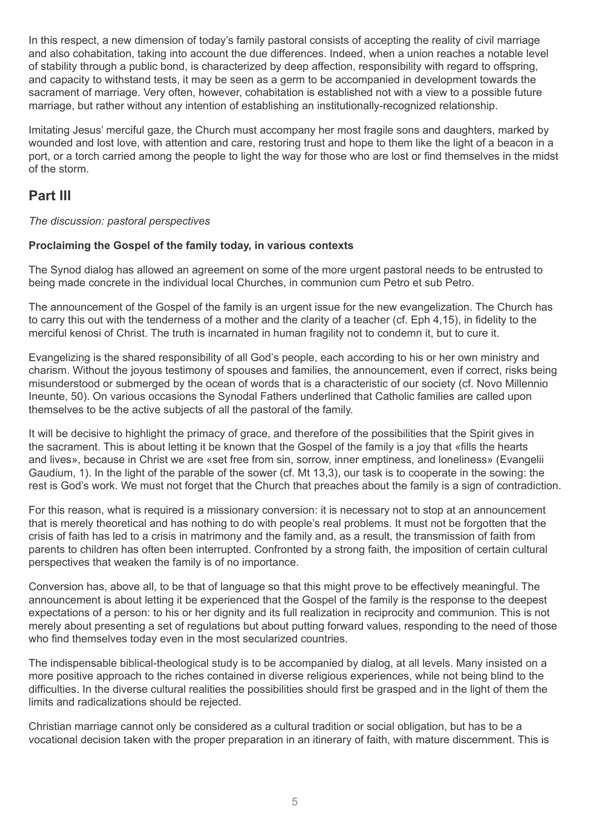In this respect, a new dimension of today's family pastoral consists of accepting the reality of civil marriage and also cohabitation, taking into account the due differences. Indeed, when a union reaches a notable level of stability through a public bond, is characterized by deep affection, responsibility with regard to offspring, and capacity to withstand tests, it may be seen as a germ to be accompanied in development towards the sacrament of marriage. Very often, however, cohabitation is established not with a view to a possible future marriage, but rather without any intention of establishing an institutionally-recognized relationship.

Imitating Jesus' merciful gaze, the Church must accompany her most fragile sons and daughters, marked by wounded and lost love, with attention and care, restoring trust and hope to them like the light of a beacon in a port, or a torch carried among the people to light the way for those who are lost or find themselves in the midst of the storm.

### **Part III**

*The discussion: pastoral perspectives*

#### **Proclaiming the Gospel of the family today, in various contexts**

The Synod dialog has allowed an agreement on some of the more urgent pastoral needs to be entrusted to being made concrete in the individual local Churches, in communion cum Petro et sub Petro.

The announcement of the Gospel of the family is an urgent issue for the new evangelization. The Church has to carry this out with the tenderness of a mother and the clarity of a teacher (cf. Eph 4,15), in fidelity to the merciful kenosi of Christ. The truth is incarnated in human fragility not to condemn it, but to cure it.

Evangelizing is the shared responsibility of all God's people, each according to his or her own ministry and charism. Without the joyous testimony of spouses and families, the announcement, even if correct, risks being misunderstood or submerged by the ocean of words that is a characteristic of our society (cf. Novo Millennio Ineunte, 50). On various occasions the Synodal Fathers underlined that Catholic families are called upon themselves to be the active subjects of all the pastoral of the family.

It will be decisive to highlight the primacy of grace, and therefore of the possibilities that the Spirit gives in the sacrament. This is about letting it be known that the Gospel of the family is a joy that «fills the hearts and lives», because in Christ we are «set free from sin, sorrow, inner emptiness, and loneliness» (Evangelii Gaudium, 1). In the light of the parable of the sower (cf. Mt 13,3), our task is to cooperate in the sowing: the rest is God's work. We must not forget that the Church that preaches about the family is a sign of contradiction.

For this reason, what is required is a missionary conversion: it is necessary not to stop at an announcement that is merely theoretical and has nothing to do with people's real problems. It must not be forgotten that the crisis of faith has led to a crisis in matrimony and the family and, as a result, the transmission of faith from parents to children has often been interrupted. Confronted by a strong faith, the imposition of certain cultural perspectives that weaken the family is of no importance.

Conversion has, above all, to be that of language so that this might prove to be effectively meaningful. The announcement is about letting it be experienced that the Gospel of the family is the response to the deepest expectations of a person: to his or her dignity and its full realization in reciprocity and communion. This is not merely about presenting a set of regulations but about putting forward values, responding to the need of those who find themselves today even in the most secularized countries.

The indispensable biblical-theological study is to be accompanied by dialog, at all levels. Many insisted on a more positive approach to the riches contained in diverse religious experiences, while not being blind to the difficulties. In the diverse cultural realities the possibilities should first be grasped and in the light of them the limits and radicalizations should be rejected.

Christian marriage cannot only be considered as a cultural tradition or social obligation, but has to be a vocational decision taken with the proper preparation in an itinerary of faith, with mature discernment. This is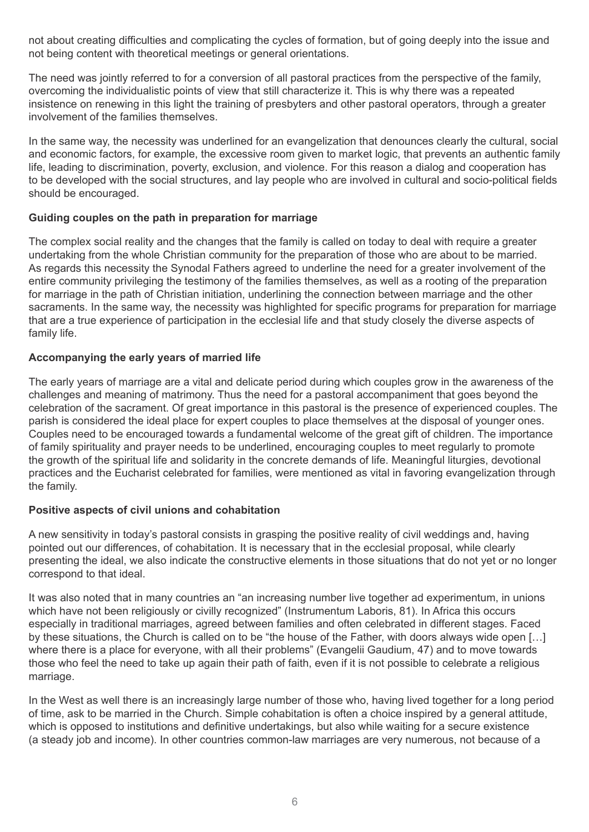not about creating difficulties and complicating the cycles of formation, but of going deeply into the issue and not being content with theoretical meetings or general orientations.

The need was jointly referred to for a conversion of all pastoral practices from the perspective of the family, overcoming the individualistic points of view that still characterize it. This is why there was a repeated insistence on renewing in this light the training of presbyters and other pastoral operators, through a greater involvement of the families themselves.

In the same way, the necessity was underlined for an evangelization that denounces clearly the cultural, social and economic factors, for example, the excessive room given to market logic, that prevents an authentic family life, leading to discrimination, poverty, exclusion, and violence. For this reason a dialog and cooperation has to be developed with the social structures, and lay people who are involved in cultural and socio-political fields should be encouraged.

#### **Guiding couples on the path in preparation for marriage**

The complex social reality and the changes that the family is called on today to deal with require a greater undertaking from the whole Christian community for the preparation of those who are about to be married. As regards this necessity the Synodal Fathers agreed to underline the need for a greater involvement of the entire community privileging the testimony of the families themselves, as well as a rooting of the preparation for marriage in the path of Christian initiation, underlining the connection between marriage and the other sacraments. In the same way, the necessity was highlighted for specific programs for preparation for marriage that are a true experience of participation in the ecclesial life and that study closely the diverse aspects of family life.

#### **Accompanying the early years of married life**

The early years of marriage are a vital and delicate period during which couples grow in the awareness of the challenges and meaning of matrimony. Thus the need for a pastoral accompaniment that goes beyond the celebration of the sacrament. Of great importance in this pastoral is the presence of experienced couples. The parish is considered the ideal place for expert couples to place themselves at the disposal of younger ones. Couples need to be encouraged towards a fundamental welcome of the great gift of children. The importance of family spirituality and prayer needs to be underlined, encouraging couples to meet regularly to promote the growth of the spiritual life and solidarity in the concrete demands of life. Meaningful liturgies, devotional practices and the Eucharist celebrated for families, were mentioned as vital in favoring evangelization through the family.

#### **Positive aspects of civil unions and cohabitation**

A new sensitivity in today's pastoral consists in grasping the positive reality of civil weddings and, having pointed out our differences, of cohabitation. It is necessary that in the ecclesial proposal, while clearly presenting the ideal, we also indicate the constructive elements in those situations that do not yet or no longer correspond to that ideal.

It was also noted that in many countries an "an increasing number live together ad experimentum, in unions which have not been religiously or civilly recognized" (Instrumentum Laboris, 81). In Africa this occurs especially in traditional marriages, agreed between families and often celebrated in different stages. Faced by these situations, the Church is called on to be "the house of the Father, with doors always wide open […] where there is a place for everyone, with all their problems" (Evangelii Gaudium, 47) and to move towards those who feel the need to take up again their path of faith, even if it is not possible to celebrate a religious marriage.

In the West as well there is an increasingly large number of those who, having lived together for a long period of time, ask to be married in the Church. Simple cohabitation is often a choice inspired by a general attitude, which is opposed to institutions and definitive undertakings, but also while waiting for a secure existence (a steady job and income). In other countries common-law marriages are very numerous, not because of a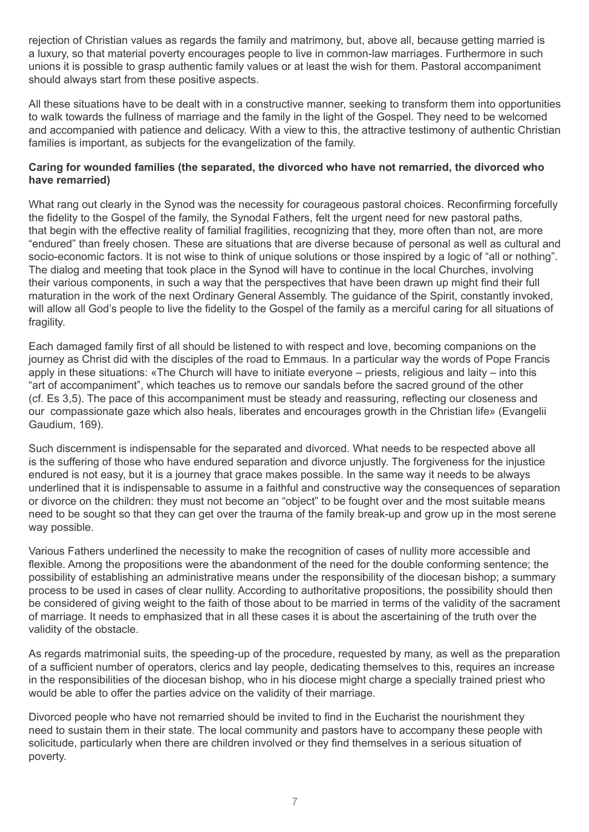rejection of Christian values as regards the family and matrimony, but, above all, because getting married is a luxury, so that material poverty encourages people to live in common-law marriages. Furthermore in such unions it is possible to grasp authentic family values or at least the wish for them. Pastoral accompaniment should always start from these positive aspects.

All these situations have to be dealt with in a constructive manner, seeking to transform them into opportunities to walk towards the fullness of marriage and the family in the light of the Gospel. They need to be welcomed and accompanied with patience and delicacy. With a view to this, the attractive testimony of authentic Christian families is important, as subjects for the evangelization of the family.

#### **Caring for wounded families (the separated, the divorced who have not remarried, the divorced who have remarried)**

What rang out clearly in the Synod was the necessity for courageous pastoral choices. Reconfirming forcefully the fidelity to the Gospel of the family, the Synodal Fathers, felt the urgent need for new pastoral paths, that begin with the effective reality of familial fragilities, recognizing that they, more often than not, are more "endured" than freely chosen. These are situations that are diverse because of personal as well as cultural and socio-economic factors. It is not wise to think of unique solutions or those inspired by a logic of "all or nothing". The dialog and meeting that took place in the Synod will have to continue in the local Churches, involving their various components, in such a way that the perspectives that have been drawn up might find their full maturation in the work of the next Ordinary General Assembly. The guidance of the Spirit, constantly invoked, will allow all God's people to live the fidelity to the Gospel of the family as a merciful caring for all situations of fragility.

Each damaged family first of all should be listened to with respect and love, becoming companions on the journey as Christ did with the disciples of the road to Emmaus. In a particular way the words of Pope Francis apply in these situations: «The Church will have to initiate everyone – priests, religious and laity – into this "art of accompaniment", which teaches us to remove our sandals before the sacred ground of the other (cf. Es 3,5). The pace of this accompaniment must be steady and reassuring, reflecting our closeness and our compassionate gaze which also heals, liberates and encourages growth in the Christian life» (Evangelii Gaudium, 169).

Such discernment is indispensable for the separated and divorced. What needs to be respected above all is the suffering of those who have endured separation and divorce unjustly. The forgiveness for the injustice endured is not easy, but it is a journey that grace makes possible. In the same way it needs to be always underlined that it is indispensable to assume in a faithful and constructive way the consequences of separation or divorce on the children: they must not become an "object" to be fought over and the most suitable means need to be sought so that they can get over the trauma of the family break-up and grow up in the most serene way possible.

Various Fathers underlined the necessity to make the recognition of cases of nullity more accessible and flexible. Among the propositions were the abandonment of the need for the double conforming sentence; the possibility of establishing an administrative means under the responsibility of the diocesan bishop; a summary process to be used in cases of clear nullity. According to authoritative propositions, the possibility should then be considered of giving weight to the faith of those about to be married in terms of the validity of the sacrament of marriage. It needs to emphasized that in all these cases it is about the ascertaining of the truth over the validity of the obstacle.

As regards matrimonial suits, the speeding-up of the procedure, requested by many, as well as the preparation of a sufficient number of operators, clerics and lay people, dedicating themselves to this, requires an increase in the responsibilities of the diocesan bishop, who in his diocese might charge a specially trained priest who would be able to offer the parties advice on the validity of their marriage.

Divorced people who have not remarried should be invited to find in the Eucharist the nourishment they need to sustain them in their state. The local community and pastors have to accompany these people with solicitude, particularly when there are children involved or they find themselves in a serious situation of poverty.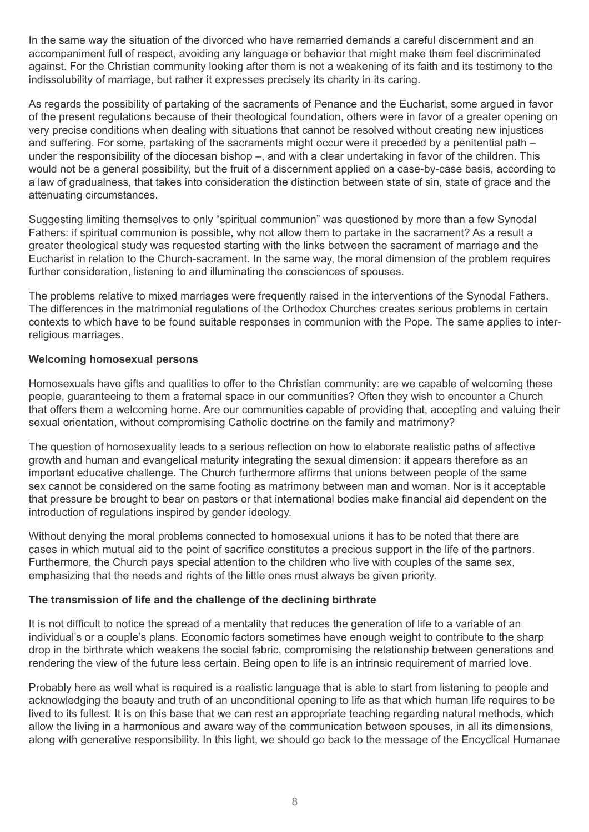In the same way the situation of the divorced who have remarried demands a careful discernment and an accompaniment full of respect, avoiding any language or behavior that might make them feel discriminated against. For the Christian community looking after them is not a weakening of its faith and its testimony to the indissolubility of marriage, but rather it expresses precisely its charity in its caring.

As regards the possibility of partaking of the sacraments of Penance and the Eucharist, some argued in favor of the present regulations because of their theological foundation, others were in favor of a greater opening on very precise conditions when dealing with situations that cannot be resolved without creating new injustices and suffering. For some, partaking of the sacraments might occur were it preceded by a penitential path – under the responsibility of the diocesan bishop –, and with a clear undertaking in favor of the children. This would not be a general possibility, but the fruit of a discernment applied on a case-by-case basis, according to a law of gradualness, that takes into consideration the distinction between state of sin, state of grace and the attenuating circumstances.

Suggesting limiting themselves to only "spiritual communion" was questioned by more than a few Synodal Fathers: if spiritual communion is possible, why not allow them to partake in the sacrament? As a result a greater theological study was requested starting with the links between the sacrament of marriage and the Eucharist in relation to the Church-sacrament. In the same way, the moral dimension of the problem requires further consideration, listening to and illuminating the consciences of spouses.

The problems relative to mixed marriages were frequently raised in the interventions of the Synodal Fathers. The differences in the matrimonial regulations of the Orthodox Churches creates serious problems in certain contexts to which have to be found suitable responses in communion with the Pope. The same applies to interreligious marriages.

#### **Welcoming homosexual persons**

Homosexuals have gifts and qualities to offer to the Christian community: are we capable of welcoming these people, guaranteeing to them a fraternal space in our communities? Often they wish to encounter a Church that offers them a welcoming home. Are our communities capable of providing that, accepting and valuing their sexual orientation, without compromising Catholic doctrine on the family and matrimony?

The question of homosexuality leads to a serious reflection on how to elaborate realistic paths of affective growth and human and evangelical maturity integrating the sexual dimension: it appears therefore as an important educative challenge. The Church furthermore affirms that unions between people of the same sex cannot be considered on the same footing as matrimony between man and woman. Nor is it acceptable that pressure be brought to bear on pastors or that international bodies make financial aid dependent on the introduction of regulations inspired by gender ideology.

Without denying the moral problems connected to homosexual unions it has to be noted that there are cases in which mutual aid to the point of sacrifice constitutes a precious support in the life of the partners. Furthermore, the Church pays special attention to the children who live with couples of the same sex, emphasizing that the needs and rights of the little ones must always be given priority.

#### **The transmission of life and the challenge of the declining birthrate**

It is not difficult to notice the spread of a mentality that reduces the generation of life to a variable of an individual's or a couple's plans. Economic factors sometimes have enough weight to contribute to the sharp drop in the birthrate which weakens the social fabric, compromising the relationship between generations and rendering the view of the future less certain. Being open to life is an intrinsic requirement of married love.

Probably here as well what is required is a realistic language that is able to start from listening to people and acknowledging the beauty and truth of an unconditional opening to life as that which human life requires to be lived to its fullest. It is on this base that we can rest an appropriate teaching regarding natural methods, which allow the living in a harmonious and aware way of the communication between spouses, in all its dimensions, along with generative responsibility. In this light, we should go back to the message of the Encyclical Humanae